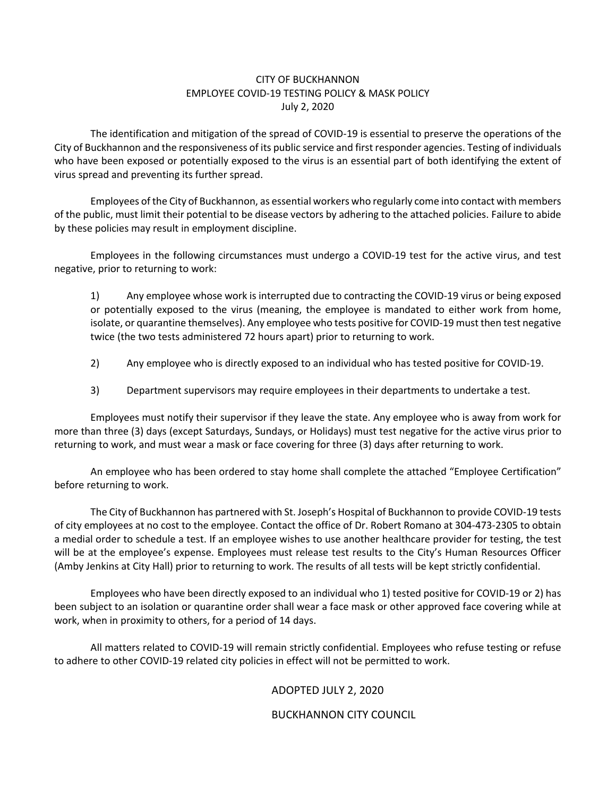## CITY OF BUCKHANNON EMPLOYEE COVID-19 TESTING POLICY & MASK POLICY July 2, 2020

The identification and mitigation of the spread of COVID-19 is essential to preserve the operations of the City of Buckhannon and the responsiveness of its public service and first responder agencies. Testing of individuals who have been exposed or potentially exposed to the virus is an essential part of both identifying the extent of virus spread and preventing its further spread.

Employees of the City of Buckhannon, as essential workers who regularly come into contact with members of the public, must limit their potential to be disease vectors by adhering to the attached policies. Failure to abide by these policies may result in employment discipline.

Employees in the following circumstances must undergo a COVID-19 test for the active virus, and test negative, prior to returning to work:

1) Any employee whose work is interrupted due to contracting the COVID-19 virus or being exposed or potentially exposed to the virus (meaning, the employee is mandated to either work from home, isolate, or quarantine themselves). Any employee who tests positive for COVID-19 must then test negative twice (the two tests administered 72 hours apart) prior to returning to work.

- 2) Any employee who is directly exposed to an individual who has tested positive for COVID-19.
- 3) Department supervisors may require employees in their departments to undertake a test.

Employees must notify their supervisor if they leave the state. Any employee who is away from work for more than three (3) days (except Saturdays, Sundays, or Holidays) must test negative for the active virus prior to returning to work, and must wear a mask or face covering for three (3) days after returning to work.

An employee who has been ordered to stay home shall complete the attached "Employee Certification" before returning to work.

The City of Buckhannon has partnered with St. Joseph's Hospital of Buckhannon to provide COVID-19 tests of city employees at no cost to the employee. Contact the office of Dr. Robert Romano at 304-473-2305 to obtain a medial order to schedule a test. If an employee wishes to use another healthcare provider for testing, the test will be at the employee's expense. Employees must release test results to the City's Human Resources Officer (Amby Jenkins at City Hall) prior to returning to work. The results of all tests will be kept strictly confidential.

Employees who have been directly exposed to an individual who 1) tested positive for COVID-19 or 2) has been subject to an isolation or quarantine order shall wear a face mask or other approved face covering while at work, when in proximity to others, for a period of 14 days.

All matters related to COVID-19 will remain strictly confidential. Employees who refuse testing or refuse to adhere to other COVID-19 related city policies in effect will not be permitted to work.

## ADOPTED JULY 2, 2020

## BUCKHANNON CITY COUNCIL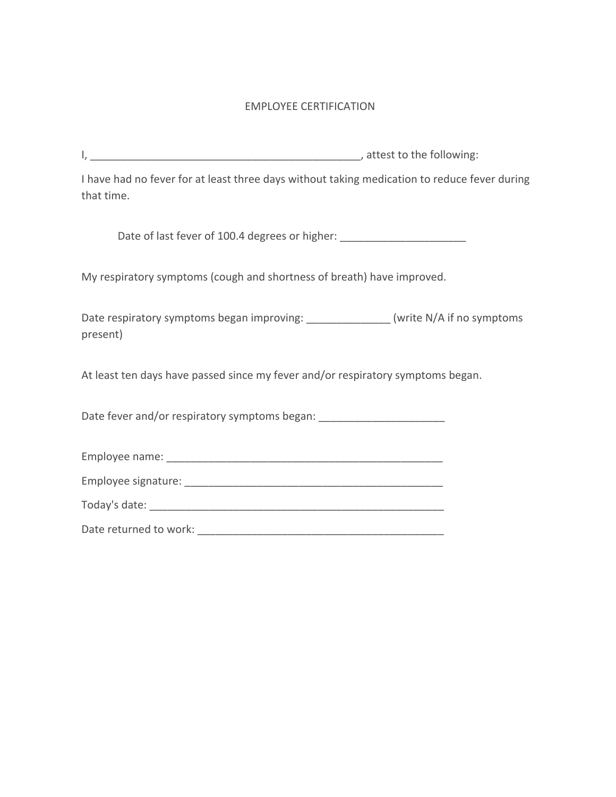## EMPLOYEE CERTIFICATION

I, the same of the state of the following:  $\blacksquare$ 

I have had no fever for at least three days without taking medication to reduce fever during that time.

Date of last fever of 100.4 degrees or higher: \_\_\_\_\_\_\_\_\_\_\_\_\_\_\_\_\_\_\_\_\_\_\_\_\_\_\_\_\_\_\_\_\_\_

My respiratory symptoms (cough and shortness of breath) have improved.

Date respiratory symptoms began improving: \_\_\_\_\_\_\_\_\_\_\_\_\_\_ (write N/A if no symptoms present)

At least ten days have passed since my fever and/or respiratory symptoms began.

Date fever and/or respiratory symptoms began:

| Employee name:      |  |  |
|---------------------|--|--|
| Employee signature: |  |  |

| Today's date: |  |
|---------------|--|
|               |  |

Date returned to work: \_\_\_\_\_\_\_\_\_\_\_\_\_\_\_\_\_\_\_\_\_\_\_\_\_\_\_\_\_\_\_\_\_\_\_\_\_\_\_\_\_